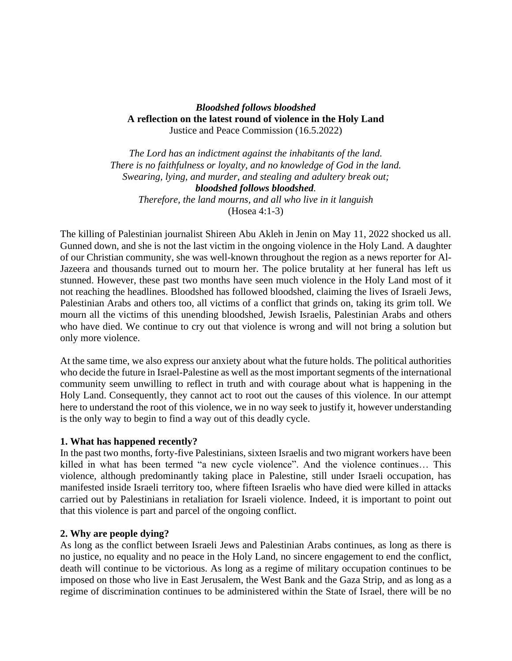#### *Bloodshed follows bloodshed* **A reflection on the latest round of violence in the Holy Land** Justice and Peace Commission (16.5.2022)

*The Lord has an indictment against the inhabitants of the land. There is no faithfulness or loyalty, and no knowledge of God in the land. Swearing, lying, and murder, and stealing and adultery break out; bloodshed follows bloodshed. Therefore, the land mourns, and all who live in it languish* (Hosea 4:1-3)

The killing of Palestinian journalist Shireen Abu Akleh in Jenin on May 11, 2022 shocked us all. Gunned down, and she is not the last victim in the ongoing violence in the Holy Land. A daughter of our Christian community, she was well-known throughout the region as a news reporter for Al-Jazeera and thousands turned out to mourn her. The police brutality at her funeral has left us stunned. However, these past two months have seen much violence in the Holy Land most of it not reaching the headlines. Bloodshed has followed bloodshed, claiming the lives of Israeli Jews, Palestinian Arabs and others too, all victims of a conflict that grinds on, taking its grim toll. We mourn all the victims of this unending bloodshed, Jewish Israelis, Palestinian Arabs and others who have died. We continue to cry out that violence is wrong and will not bring a solution but only more violence.

At the same time, we also express our anxiety about what the future holds. The political authorities who decide the future in Israel-Palestine as well as the most important segments of the international community seem unwilling to reflect in truth and with courage about what is happening in the Holy Land. Consequently, they cannot act to root out the causes of this violence. In our attempt here to understand the root of this violence, we in no way seek to justify it, however understanding is the only way to begin to find a way out of this deadly cycle.

#### **1. What has happened recently?**

In the past two months, forty-five Palestinians, sixteen Israelis and two migrant workers have been killed in what has been termed "a new cycle violence". And the violence continues… This violence, although predominantly taking place in Palestine, still under Israeli occupation, has manifested inside Israeli territory too, where fifteen Israelis who have died were killed in attacks carried out by Palestinians in retaliation for Israeli violence. Indeed, it is important to point out that this violence is part and parcel of the ongoing conflict.

#### **2. Why are people dying?**

As long as the conflict between Israeli Jews and Palestinian Arabs continues, as long as there is no justice, no equality and no peace in the Holy Land, no sincere engagement to end the conflict, death will continue to be victorious. As long as a regime of military occupation continues to be imposed on those who live in East Jerusalem, the West Bank and the Gaza Strip, and as long as a regime of discrimination continues to be administered within the State of Israel, there will be no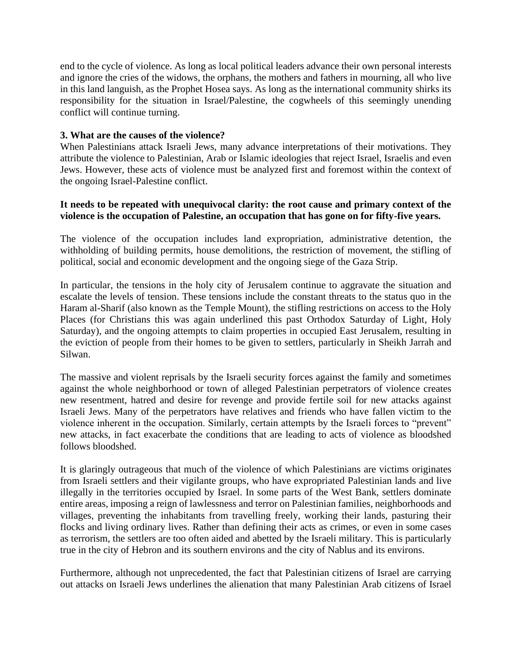end to the cycle of violence. As long as local political leaders advance their own personal interests and ignore the cries of the widows, the orphans, the mothers and fathers in mourning, all who live in this land languish, as the Prophet Hosea says. As long as the international community shirks its responsibility for the situation in Israel/Palestine, the cogwheels of this seemingly unending conflict will continue turning.

#### **3. What are the causes of the violence?**

When Palestinians attack Israeli Jews, many advance interpretations of their motivations. They attribute the violence to Palestinian, Arab or Islamic ideologies that reject Israel, Israelis and even Jews. However, these acts of violence must be analyzed first and foremost within the context of the ongoing Israel-Palestine conflict.

#### **It needs to be repeated with unequivocal clarity: the root cause and primary context of the violence is the occupation of Palestine, an occupation that has gone on for fifty-five years.**

The violence of the occupation includes land expropriation, administrative detention, the withholding of building permits, house demolitions, the restriction of movement, the stifling of political, social and economic development and the ongoing siege of the Gaza Strip.

In particular, the tensions in the holy city of Jerusalem continue to aggravate the situation and escalate the levels of tension. These tensions include the constant threats to the status quo in the Haram al-Sharif (also known as the Temple Mount), the stifling restrictions on access to the Holy Places (for Christians this was again underlined this past Orthodox Saturday of Light, Holy Saturday), and the ongoing attempts to claim properties in occupied East Jerusalem, resulting in the eviction of people from their homes to be given to settlers, particularly in Sheikh Jarrah and Silwan.

The massive and violent reprisals by the Israeli security forces against the family and sometimes against the whole neighborhood or town of alleged Palestinian perpetrators of violence creates new resentment, hatred and desire for revenge and provide fertile soil for new attacks against Israeli Jews. Many of the perpetrators have relatives and friends who have fallen victim to the violence inherent in the occupation. Similarly, certain attempts by the Israeli forces to "prevent" new attacks, in fact exacerbate the conditions that are leading to acts of violence as bloodshed follows bloodshed.

It is glaringly outrageous that much of the violence of which Palestinians are victims originates from Israeli settlers and their vigilante groups, who have expropriated Palestinian lands and live illegally in the territories occupied by Israel. In some parts of the West Bank, settlers dominate entire areas, imposing a reign of lawlessness and terror on Palestinian families, neighborhoods and villages, preventing the inhabitants from travelling freely, working their lands, pasturing their flocks and living ordinary lives. Rather than defining their acts as crimes, or even in some cases as terrorism, the settlers are too often aided and abetted by the Israeli military. This is particularly true in the city of Hebron and its southern environs and the city of Nablus and its environs.

Furthermore, although not unprecedented, the fact that Palestinian citizens of Israel are carrying out attacks on Israeli Jews underlines the alienation that many Palestinian Arab citizens of Israel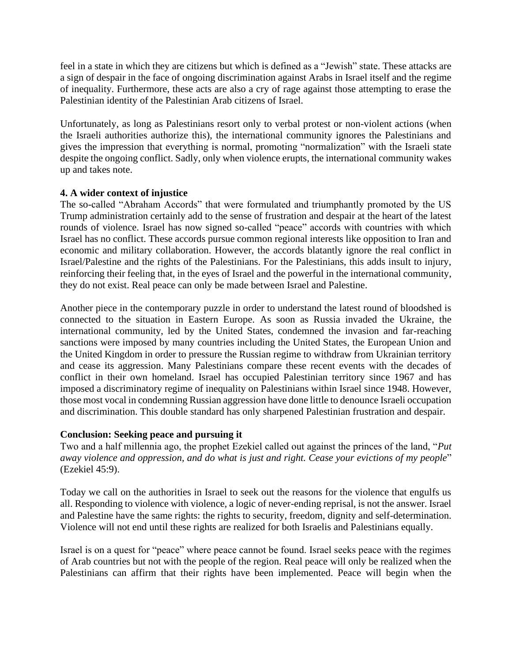feel in a state in which they are citizens but which is defined as a "Jewish" state. These attacks are a sign of despair in the face of ongoing discrimination against Arabs in Israel itself and the regime of inequality. Furthermore, these acts are also a cry of rage against those attempting to erase the Palestinian identity of the Palestinian Arab citizens of Israel.

Unfortunately, as long as Palestinians resort only to verbal protest or non-violent actions (when the Israeli authorities authorize this), the international community ignores the Palestinians and gives the impression that everything is normal, promoting "normalization" with the Israeli state despite the ongoing conflict. Sadly, only when violence erupts, the international community wakes up and takes note.

#### **4. A wider context of injustice**

The so-called "Abraham Accords" that were formulated and triumphantly promoted by the US Trump administration certainly add to the sense of frustration and despair at the heart of the latest rounds of violence. Israel has now signed so-called "peace" accords with countries with which Israel has no conflict. These accords pursue common regional interests like opposition to Iran and economic and military collaboration. However, the accords blatantly ignore the real conflict in Israel/Palestine and the rights of the Palestinians. For the Palestinians, this adds insult to injury, reinforcing their feeling that, in the eyes of Israel and the powerful in the international community, they do not exist. Real peace can only be made between Israel and Palestine.

Another piece in the contemporary puzzle in order to understand the latest round of bloodshed is connected to the situation in Eastern Europe. As soon as Russia invaded the Ukraine, the international community, led by the United States, condemned the invasion and far-reaching sanctions were imposed by many countries including the United States, the European Union and the United Kingdom in order to pressure the Russian regime to withdraw from Ukrainian territory and cease its aggression. Many Palestinians compare these recent events with the decades of conflict in their own homeland. Israel has occupied Palestinian territory since 1967 and has imposed a discriminatory regime of inequality on Palestinians within Israel since 1948. However, those most vocal in condemning Russian aggression have done little to denounce Israeli occupation and discrimination. This double standard has only sharpened Palestinian frustration and despair.

#### **Conclusion: Seeking peace and pursuing it**

Two and a half millennia ago, the prophet Ezekiel called out against the princes of the land, "*Put away violence and oppression, and do what is just and right. Cease your evictions of my people*" (Ezekiel 45:9).

Today we call on the authorities in Israel to seek out the reasons for the violence that engulfs us all. Responding to violence with violence, a logic of never-ending reprisal, is not the answer. Israel and Palestine have the same rights: the rights to security, freedom, dignity and self-determination. Violence will not end until these rights are realized for both Israelis and Palestinians equally.

Israel is on a quest for "peace" where peace cannot be found. Israel seeks peace with the regimes of Arab countries but not with the people of the region. Real peace will only be realized when the Palestinians can affirm that their rights have been implemented. Peace will begin when the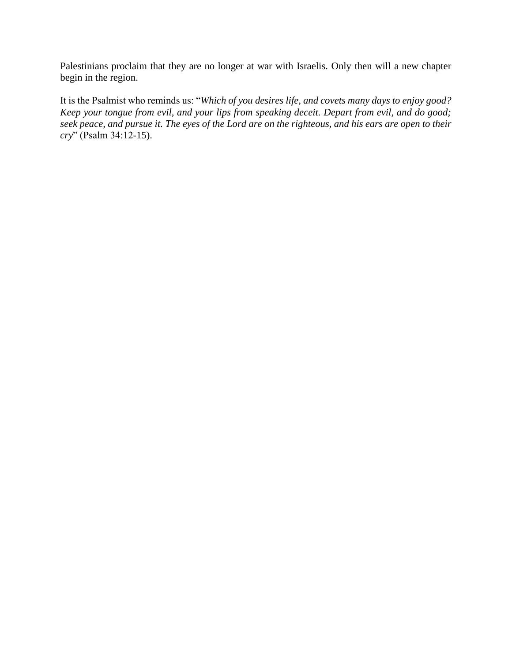Palestinians proclaim that they are no longer at war with Israelis. Only then will a new chapter begin in the region.

It is the Psalmist who reminds us: "*Which of you desires life, and covets many days to enjoy good? Keep your tongue from evil, and your lips from speaking deceit. Depart from evil, and do good; seek peace, and pursue it. The eyes of the Lord are on the righteous, and his ears are open to their cry*" (Psalm 34:12-15).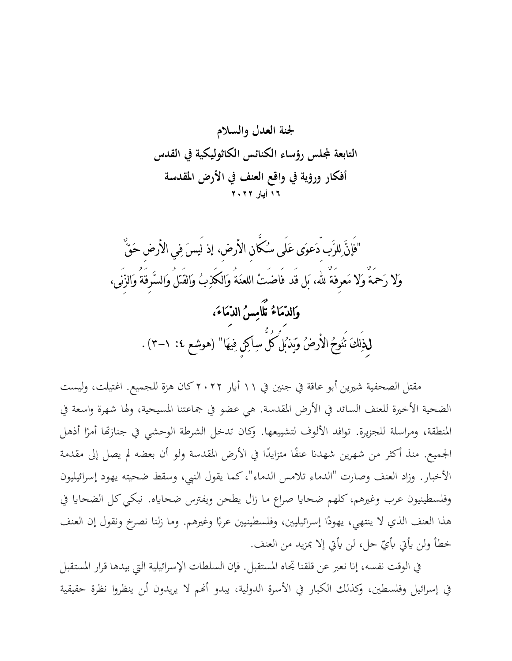

"فَإنَّ لِلرَّب دَعوَى عَلَى سُكَّانِ األرض،ِ إذ لَيسَ فِي األرضِ حَقٌّ وَال رَمحَةٌ وَال مَعرِفَةٌ هلل، بَل قَد فَاضَتْ اللعنَةُ وَالكَذِبُ وَالقَتلُ وَالسَّرِقَةُ وَالزِّنَى، وَ الدِّ مَاءُ تُ لَ امِ سُ الدِّ مَ اءَ ، لِذَلِكَ تُنُوحُ الْأَرضُ وَيَذبُلُ كُلَّ سِاكِنٍ فِيهَا" (هوشع ٤: ١-٣) .

مقتل الصحفية شيرين أبو عاقة في جنين في ١١ أيار ٢٠٢٢ كان هزة للجميع. اغتيلت، وليست الضحية الأخيرة للعنف السائد في الأرض المقدسة. هي عضو في جماعتنا المسيحية، ولها شهرة واسعة في المنطقة، ومراسلة للجزيرة. توافد الألوف لتشييعها. وكان تدخل الشرطة الوحشي في جنازتها أمرًا أذهل ر<br>. الجميع. منذ أكثر من شهرين شهدنا عنفًا متزايدًا في الأرض المقدسة ولو أن بعضه لم يصل إلى مقدمة ل<br>ا .<br>م األخبار. وزاد العنف وصارت "الدماء تالمس الدماء"، كما يقول النيب، وسقط ضحيته يهود إسرائيليون وفلسطينيون عرب وغيرهم، كلهم ضحايا صراع ما زال يطحن ويفترس ضحاياه. نبكي كل الضحايا في هذا العنف الذي لا ينتهي، يهودًا إسرائيليين، وفلسطينيين عربًا وغيرهم. وما زلنا نصرخ ونقول إن العنف با<br>أ خطأ ولن يأتي بأيّ حل، لن يأتي إلا بمزيد من العنف.

في الوقت نفسه، إنا نعبر عن قلقنا تجاه المستقبل. فإن السلطات الإسرائيلية التي بيدها قرار المستقبل يف إسرائيل وفلسطني، وكذلك الكبار يف األسرة الدولية، يبدو أهنم ال يريدون أـن ينظروا نظرة حقيقية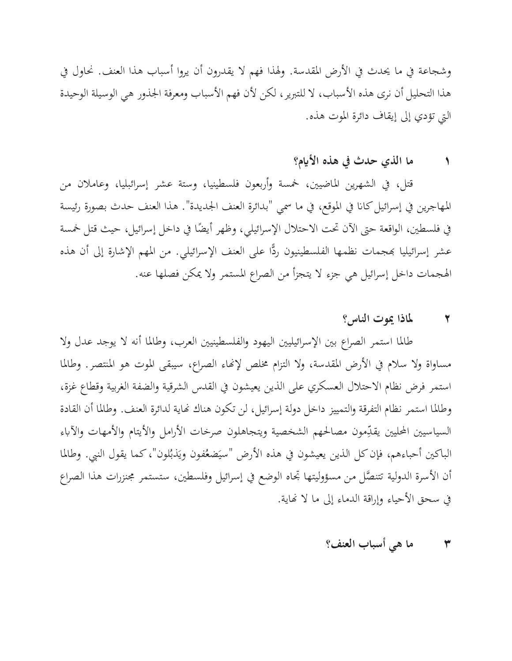وشجاعة في ما يحدث في الأرض المقدسة. ولهذا فهم لا يقدرون أن يروا أسباب هذا العنف. نحاول في هذا التحليل أن نرى هذه الأسباب، لا للتبرير، لكن لأن فهم الأسباب ومعرفة الجذور هي الوسيلة الوحيدة اليت تؤدي إىل إيقاف دائرة املوت هذه.

# **١ ما الذي حدث يف هذه األايم؟**

قتل، يف الشهرين املاضيني، مخسة وأربعون فلسطينيا، وستة عشر إسرائبليا، وعامالن من المهاجرين في إسرائيل كانا في الموقع، في ما سمي "بدائرة العنف الجديدة". هذا العنف حدث بصورة رئيسة في فلسطين، الواقعة حتى الآن تحت الاحتلال الإسرائيلي، وظهر أيضًا في داخل إسرائيل، حيث قتل خمسة عشر إسرائيليا بمجمات نظمها الفلسطينيون ردًّا على العنف الإسرائيلي. من المهم الإشارة إلى أن هذه اهلجمات داخل إسرائيل هي جزء ال يتجزأ من الصراع املستمر وال ميكن فصلها عنه.

### **٢ ملاذا ميوت الناس؟**

طالما استمر الصراع بين الإسرائيليين اليهود والفلسطينيين العرب، وطالما أنه لا يوجد عدل ولا مساواة ولا سلام في الأرض المقدسة، ولا التزام مخلص لإنهاء الصراع، سيبقى الموت هو المنتصر. وطالما استمر فرض نظام الاحتلال العسكري على الذين يعيشون في القدس الشرقية والضفة الغربية وقطاع غزة، و طاملا استمر نظام التفرقة والتمييز داخل دولة إسرائيل، لن تكون هناك هناية لدائرة العنف. و طاملا أن القادة السياسيين المحليين يقدِّمون مصالحهم الشخصية ويتجاهلون صرخات الأرامل والأيتام والأمهات والآباء الباكين أحباءهم، فإن كل الذين يعيشون في هذه الأرض "سيَضعُفون ويَذبُلون"، كما يقول النبي. وطالما  $\ddot{\cdot}$ ي<br>. أن الأسرة الدولية تتنصَّل من مسؤوليتها تجاه الوضع في إسرائيل وفلسطين، ستستمر مجنزرات هذا الصراع يف سحق األحياء وإراقة الدماء إىل ما ال هناية .

## **٣ ما هي أسباب العنف؟**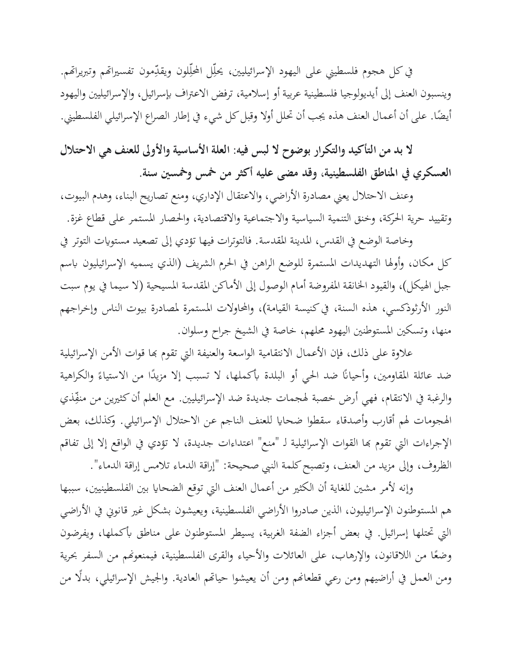في كل هجوم فلسطيني على اليهود الإسرائيليين، يحلِّل المحلِّلون ويقدِّمون تفسيراتهم وتبريراتهم. ِّ ِّ وينسبون العنف إلى أيديولوجيا فلسطينية عربية أو إسلامية، ترفض الاعتراف بإسرائيل، والإسرائيليين واليهود أيضًا. على أن أعمال العنف هذه يجب أن تحلل أولاً وقبل كل شيء في إطار الصراع الإسرائيلي الفلسطيني.

**ال بد من التأكيد والتكرار بوضوح ال لبس فيه: العلة األساسية واألوىل للعنف هي االحتالل العسكري يف املناطق الفلسطينية، و قد مضى عليه أكثر من مخس ومخس ني سنة.**

وعنف االحتالل يعين مصادرة األراضي، واالعتقال اإلداري، ومنع تصاريح البناء، وهدم البيوت، وتقييد حرية احلركة، وخنق التنمية السياسية واالجتماعية واالقتصادية، واحلصار املستمر على قطاع غزة.

وخاصة الوضع في القدس، المدينة المقدسة. فالتوترات فيها تؤدي إلى تصعيد مستويات التوتر في كل مكان، وأولها التهديدات المستمرة للوضع الراهن في الحرم الشريف (الذي يسميه الإسرائيليون باسم جبل الهيكل)، والقيود الخانقة المفروضة أمام الوصول إلى الأماكن المقدسة المسيحية (لا سيما في يوم سبت النور الأرثوذكسي، هذه السنة، في كنيسة القيامة)، والمحاولات المستمرة لمصادرة بيوت الناس وإخراجهم منها، وتسكني املستوطنني اليهود حملهم، خاصة يف الشيخ جراح وسلوان.

علاوة على ذلك، فإن الأعمال الانتقامية الواسعة والعنيفة التي تقوم بها قوات الأمن الإسرائيلية ضد عائلة المقاومين، وأحيانًا ضد الحي أو البلدة بأكملها، لا تسبب إلا مزيدًا من الاستياءً والكراهية والرغبة في الانتقام، فهي أرض خصبة لهجمات جديدة ضد الإسرائيليين. مع العلم أن كثيرين من منفِّذي ِّيمِ الهجومات لهم أقارب وأصدقاء سقطوا ضحايا للعنف الناجم عن الاحتلال الإسرائيلي. وكذلك، بعض اإلجراءات اليت تقوم هبا القوات اإلسرائيلية لـ "منع" اعتداءات جديدة، ال تؤدي يف الواقع إال إىل تفاقم الظروف، وإلى مزيد من العنف، وتصبح كلمة النبي صحيحة: "إراقة الدماء تلامس إراقة الدماء".

وإنه لأمر مشين للغاية أن الكثير من أعمال العنف التي توقع الضحايا بين الفلسطينيين، سببها هم المستوطنون الإسرائيليون، الذين صادروا الأراضي الفلسطينية، ويعيشون بشكل غير قانوني في الأراضي التي تحتلها إسرائيل. في بعض أجزاء الضفة الغربية، يسيطر المستوطنون على مناطق بأكملها، ويفرضون وضعًا من اللاقانون، والإرهاب، على العائلات والأحياء والقرى الفلسطينية، فيمنعونهم من السفر بحرية **ً** ومن العمل في أراضيهم ومن رعي قطعانهم ومن أن يعيشوا حياتهم العادية. والجيش الإسرائيلي، بدلًا من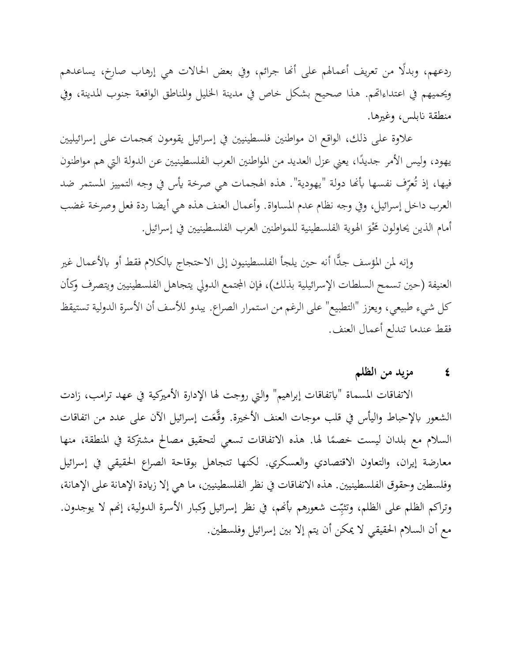ردعهم، وبدلًا من تعريف أعمالهم على أنّا جرائم، وفي بعض الحالات هي إرهاب صارخ، يساعدهم ويحميهم في اعتداءاتهم. هذا صحيح بشكل خاص في مدينة الخليل والمناطق الواقعة جنوب المدينة، وفي منطقة نابلس، وغيرها.

علاوة على ذلك، الواقع ان مواطنين فلسطينيين في إسرائيل يقومون بمجمات على إسرائيليين يهود، وليس الأمر جديدًا، يعني عزل العديد من المواطنين العرب الفلسطينيين عن الدولة التي هم مواطنون ل<br>ا فيها، إذ تُعرِّف نفسها بأنَّما دولة "يهودية". هذه الهجمات هي صرخة يأس في وجه التمييز المستمر ضد العرب داخل إسرائيل، وفي وجه نظام عدم المساواة. وأعمال العنف هذه هي أيضا ردة فعل وصرخة غضب أمام الذين يحاولون مَحْوَ الهوية الفلسطينية للمواطنين العرب الفلسطينيين في إسرائيل. ر

وإنه لمن المؤسف جدًّا أنه حين يلجأ الفلسطينيون إلى الاحتجاج بالكلام فقط أو بالأعمال غير العنيفة (حين تسمح السلطات الإسرائيلية بذلك)، فإن المجتمع الدولي يتجاهل الفلسطينيين ويتصرف وكأن كل شيء طبيعي، ويعزز "التطبيع" على الرغم من استمرار الصراع. يبدو لألسف أن األسرة الدولية تستيقظ فقط عندما تندلع أعمال العنف.

### **٤ مزيد من الظلم**

االتفاقات املسماة "ًبتفاقات إبراهيم" واليت روجت هلا اإلدارة األمريكية يف عهد ترامب، زادت الشعور بالإحباط واليأس في قلب موجات العنف الأخيرة. وقَّعَت إسرائيل الآن على عدد من اتفاقات السلام مع بلدان ليست خصمًا لها. هذه الاتفاقات تسعي لتحقيق مصالح مشتركة في المنطقة، منها ً معارضة إيران، والتعاون االقتصادي والعسكري. لكنها تتجاهل بوقاحة الصراع احلقيقي يف إسرائيل وفلسطين وحقوق الفلسطينيين. هذه الاتفاقات في نظر الفلسطينيين، ما هي إلا زيادة الإهانة على الإهانة، وتراكم الظلم على الظلم، وتثبِّت شعورهم بأنهم، في نظر إسرائيل وكبار الأسرة الدولية، إنهم لا يوجدون. مع أن السالم احلقيقي ال ميكن أن يتم إال بني إسرائيل وفلسطني.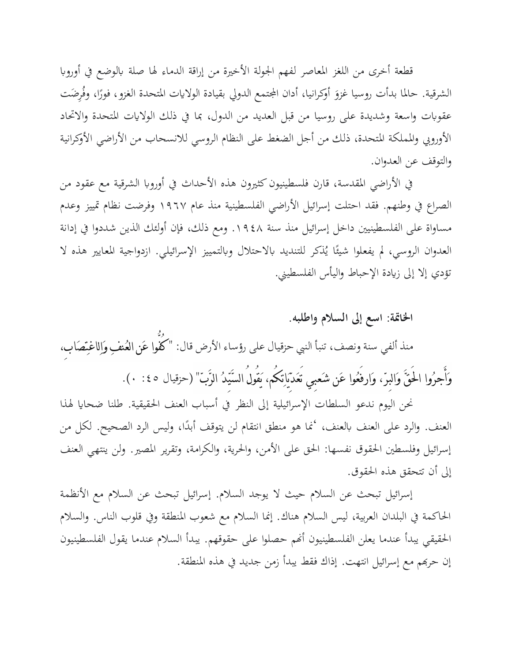قطعة أخرى من اللغز المعاصر لفهم الجولة الأخيرة من إراقة الدماء لها صلة بالوضع في أوروبا الشرقية. حالما بدأت روسيا غزوَ أوكرانيا، أدان المجتمع الدولي بقيادة الولايات المتحدة الغزو، فورًا، وفُرِضَت ڔ عقوبات واسعة وشديدة على روسيا من قبل العديد من الدول، بما في ذلك الولايات المتحدة والاتحاد الأوروبي والمملكة المتحدة، ذلك من أجل الضغط على النظام الروسي للانسحاب من الأراضي الأوكرانية والتوقف عن العدوان.

في الأراضي المقدسة، قارن فلسطينيون كثيرون هذه الأحداث في أوروبا الشرقية مع عقود من الصراع يف وطنهم. فقد احتلت إسرائيل األراضي الفلسطينية منذ عام ١٩٦٧ وفرضت نظام متييز و عدم مساواة على الفلسطينيين داخل إسرائيل منذ سنة ١٩٤٨. ومع ذلك، فإن أولئك الذين شددوا في إدانة العدوان الروسي، لم يفعلوا شيئًا يُنكر للتنديد بالاحتلال وبالتمييز الإسرائيلي. ازدواجية المعايير هذه لا ء<br>م تؤدي إلا إلى زيادة الإحباط واليأس الفلسطيني.

**اخلامتة: اسع إىل السالم واطلبه.**  منذ ألفي سنة ونصف، تنبأ النيب حزقيال على رؤساء األرض قال: " كُفُّوا عَن العُنفِ وَالِاغتِصَاب،ِ وَأَجرُوا الحقَّ وَالبِرّ، وَارفَعُوا عَن شَعبِي تَعَدّيَاتِكُم، يَقُولُ السَّيِّدُ الرَّبّ" (حزقيال ٤٥: ٠).

نحن اليوم ندعو السلطات الإسرائيلية إلى النظر في أسباب العنف الحقيقية. طلنا ضحايا لهذا العنف. والرد على العنف بالعنف، 'نما هو منطق انتقام لن يتوقف أبدًا، وليس الرد الصحيح. لكل من ل<br>ا إسرائيل وفلسطني احلقوق نفسها: احلق على األمن، واحلرية، والكرامة، وتقرير املصري. ولن ينتهي العنف إىل أن تتحقق هذه احلقوق.

إسرائيل تبحث عن السالم حيث ال يوجد السالم. إسرائيل تبحث عن السالم مع األنظمة احلاكمة يف البلدان العربية، ليس السالم هناك. إمنا السالم مع شعوب املنطقة ويف قلوب الناس. والسالم احلقيقي يبدأ عندما يعلن الفلسطينيون أهنم حصلوا على حقوقهم. يبدأ السالم عندما يقول الفلسطينيون إن حرهبم مع إسرائيل انتهت. إذاك فقط يبدأ زمن جديد يف هذه املنطقة.